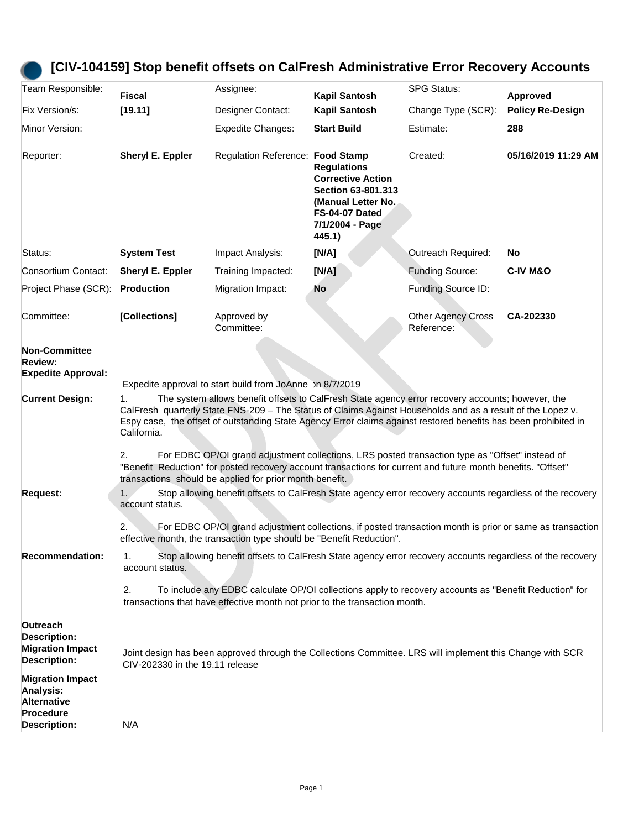## **[CIV-104159] Stop benefit offsets on CalFresh Administrative Error Recovery Accounts**

| Team Responsible:                                                                              | Fiscal                                                                                                                                                                                                                                                                                                                                                                                                                                                          | Assignee:                                                                                                                                                                           | <b>Kapil Santosh</b>                                                                                                                      | <b>SPG Status:</b>                      | Approved                |  |
|------------------------------------------------------------------------------------------------|-----------------------------------------------------------------------------------------------------------------------------------------------------------------------------------------------------------------------------------------------------------------------------------------------------------------------------------------------------------------------------------------------------------------------------------------------------------------|-------------------------------------------------------------------------------------------------------------------------------------------------------------------------------------|-------------------------------------------------------------------------------------------------------------------------------------------|-----------------------------------------|-------------------------|--|
| Fix Version/s:                                                                                 | [19.11]                                                                                                                                                                                                                                                                                                                                                                                                                                                         | Designer Contact:                                                                                                                                                                   | <b>Kapil Santosh</b>                                                                                                                      | Change Type (SCR):                      | <b>Policy Re-Design</b> |  |
| Minor Version:                                                                                 |                                                                                                                                                                                                                                                                                                                                                                                                                                                                 | <b>Expedite Changes:</b>                                                                                                                                                            | <b>Start Build</b>                                                                                                                        | Estimate:                               | 288                     |  |
| Reporter:                                                                                      | Sheryl E. Eppler                                                                                                                                                                                                                                                                                                                                                                                                                                                | Regulation Reference: Food Stamp                                                                                                                                                    | <b>Regulations</b><br><b>Corrective Action</b><br>Section 63-801.313<br>(Manual Letter No.<br>FS-04-07 Dated<br>7/1/2004 - Page<br>445.1) | Created:                                | 05/16/2019 11:29 AM     |  |
| Status:                                                                                        | <b>System Test</b>                                                                                                                                                                                                                                                                                                                                                                                                                                              | Impact Analysis:                                                                                                                                                                    | [N/A]                                                                                                                                     | Outreach Required:                      | No                      |  |
| Consortium Contact:                                                                            | Sheryl E. Eppler                                                                                                                                                                                                                                                                                                                                                                                                                                                | Training Impacted:                                                                                                                                                                  | [N/A]                                                                                                                                     | <b>Funding Source:</b>                  | <b>C-IV M&amp;O</b>     |  |
| Project Phase (SCR):                                                                           | <b>Production</b>                                                                                                                                                                                                                                                                                                                                                                                                                                               | Migration Impact:                                                                                                                                                                   | <b>No</b>                                                                                                                                 | Funding Source ID:                      |                         |  |
| Committee:                                                                                     | [Collections]                                                                                                                                                                                                                                                                                                                                                                                                                                                   | Approved by<br>Committee:                                                                                                                                                           |                                                                                                                                           | <b>Other Agency Cross</b><br>Reference: | CA-202330               |  |
| <b>Non-Committee</b><br><b>Review:</b><br><b>Expedite Approval:</b>                            |                                                                                                                                                                                                                                                                                                                                                                                                                                                                 | Bxpedite approval to start build from JoAnne on 8/7/2019                                                                                                                            |                                                                                                                                           |                                         |                         |  |
| <b>Current Design:</b>                                                                         | The system allows benefit offsets to CalFresh State agency error recovery accounts; however, the<br>1.<br>CalFresh quarterly State FNS-209 - The Status of Claims Against Households and as a result of the Lopez v.<br>Espy case, the offset of outstanding State Agency Error claims against restored benefits has been prohibited in<br>California.<br>For EDBC OP/OI grand adjustment collections, LRS posted transaction type as "Offset" instead of<br>2. |                                                                                                                                                                                     |                                                                                                                                           |                                         |                         |  |
|                                                                                                | "Benefit Reduction" for posted recovery account transactions for current and future month benefits. "Offset"<br>transactions should be applied for prior month benefit.                                                                                                                                                                                                                                                                                         |                                                                                                                                                                                     |                                                                                                                                           |                                         |                         |  |
| <b>Request:</b>                                                                                | Stop allowing benefit offsets to CalFresh State agency error recovery accounts regardless of the recovery<br>1.<br>account status.                                                                                                                                                                                                                                                                                                                              |                                                                                                                                                                                     |                                                                                                                                           |                                         |                         |  |
|                                                                                                | 2.<br>For EDBC OP/OI grand adjustment collections, if posted transaction month is prior or same as transaction<br>effective month, the transaction type should be "Benefit Reduction".                                                                                                                                                                                                                                                                          |                                                                                                                                                                                     |                                                                                                                                           |                                         |                         |  |
| <b>Recommendation:</b>                                                                         | Stop allowing benefit offsets to CalFresh State agency error recovery accounts regardless of the recovery<br>1.<br>account status.                                                                                                                                                                                                                                                                                                                              |                                                                                                                                                                                     |                                                                                                                                           |                                         |                         |  |
|                                                                                                | 2.                                                                                                                                                                                                                                                                                                                                                                                                                                                              | To include any EDBC calculate OP/OI collections apply to recovery accounts as "Benefit Reduction" for<br>transactions that have effective month not prior to the transaction month. |                                                                                                                                           |                                         |                         |  |
| Outreach<br><b>Description:</b><br><b>Migration Impact</b><br><b>Description:</b>              | Joint design has been approved through the Collections Committee. LRS will implement this Change with SCR<br>CIV-202330 in the 19.11 release                                                                                                                                                                                                                                                                                                                    |                                                                                                                                                                                     |                                                                                                                                           |                                         |                         |  |
| <b>Migration Impact</b><br>Analysis:<br><b>Alternative</b><br>Procedure<br><b>Description:</b> | N/A                                                                                                                                                                                                                                                                                                                                                                                                                                                             |                                                                                                                                                                                     |                                                                                                                                           |                                         |                         |  |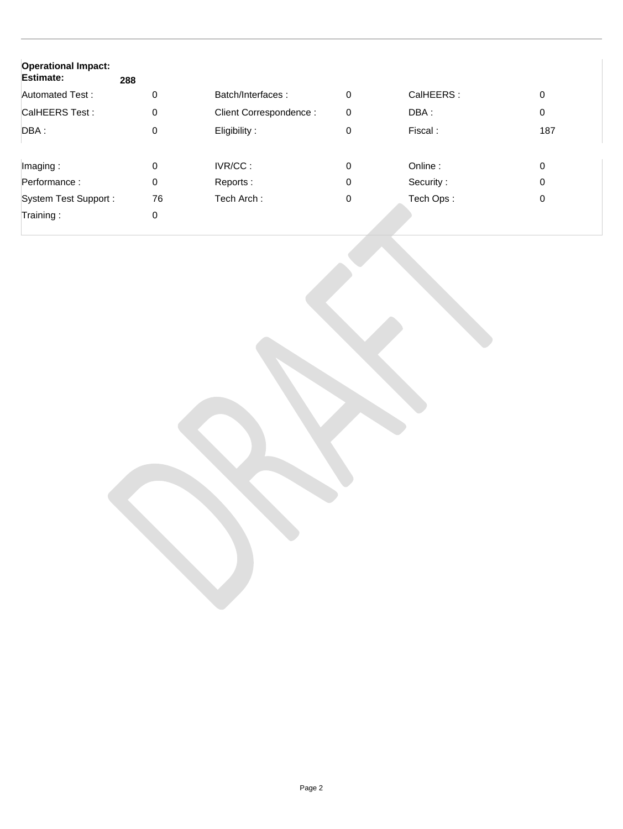| <b>Operational Impact:</b><br><b>Estimate:</b> | 288 |                        |   |           |     |
|------------------------------------------------|-----|------------------------|---|-----------|-----|
| Automated Test:                                | 0   | Batch/Interfaces:      | 0 | CalHEERS: | 0   |
| CalHEERS Test:                                 | 0   | Client Correspondence: | 0 | DBA:      | 0   |
| DBA :                                          | 0   | Eligibility:           | 0 | Fiscal:   | 187 |
| Imaging:                                       | 0   | IVR/CC:                | 0 | Online:   | 0   |
| Performance:                                   | 0   | Reports:               | 0 | Security: | 0   |
| System Test Support:                           | 76  | Tech Arch:             | 0 | Tech Ops: | 0   |
| Training:                                      | 0   |                        |   |           |     |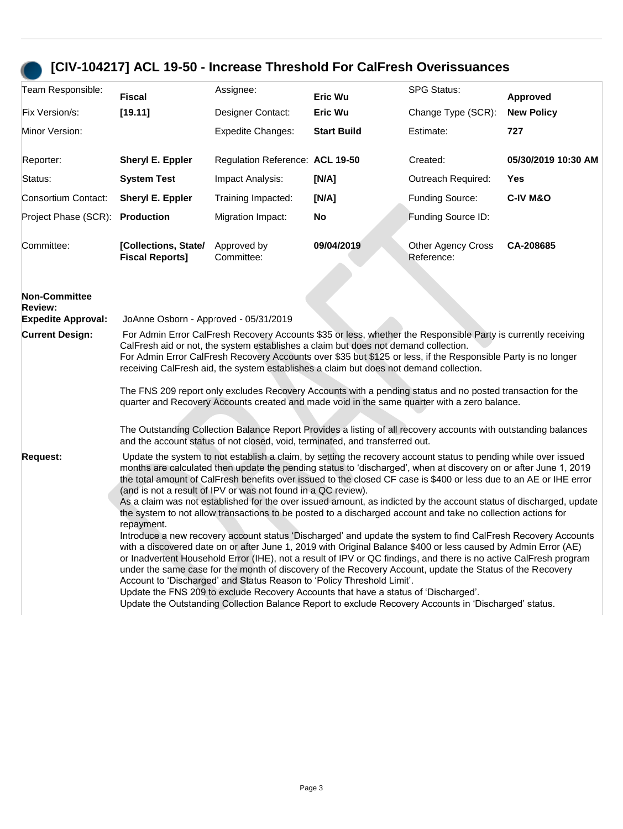## **[CIV-104217] ACL 19-50 - Increase Threshold For CalFresh Overissuances**

| Team Responsible:                                                   | <b>Fiscal</b>                                                                                                                                                                                                                                                                                                                                                                                                                                                                                                                                                                                                                                                                                                                                                                                                                                                                                                                                                                                                                                                                                                                                                                                                                                                                                                                                                                                                                 | Assignee:                       | Eric Wu            | <b>SPG Status:</b>                      | Approved            |  |
|---------------------------------------------------------------------|-------------------------------------------------------------------------------------------------------------------------------------------------------------------------------------------------------------------------------------------------------------------------------------------------------------------------------------------------------------------------------------------------------------------------------------------------------------------------------------------------------------------------------------------------------------------------------------------------------------------------------------------------------------------------------------------------------------------------------------------------------------------------------------------------------------------------------------------------------------------------------------------------------------------------------------------------------------------------------------------------------------------------------------------------------------------------------------------------------------------------------------------------------------------------------------------------------------------------------------------------------------------------------------------------------------------------------------------------------------------------------------------------------------------------------|---------------------------------|--------------------|-----------------------------------------|---------------------|--|
| Fix Version/s:                                                      | [19.11]                                                                                                                                                                                                                                                                                                                                                                                                                                                                                                                                                                                                                                                                                                                                                                                                                                                                                                                                                                                                                                                                                                                                                                                                                                                                                                                                                                                                                       | Designer Contact:               | Eric Wu            | Change Type (SCR):                      | <b>New Policy</b>   |  |
| Minor Version:                                                      |                                                                                                                                                                                                                                                                                                                                                                                                                                                                                                                                                                                                                                                                                                                                                                                                                                                                                                                                                                                                                                                                                                                                                                                                                                                                                                                                                                                                                               | <b>Expedite Changes:</b>        | <b>Start Build</b> | Estimate:                               | 727                 |  |
| Reporter:                                                           | Sheryl E. Eppler                                                                                                                                                                                                                                                                                                                                                                                                                                                                                                                                                                                                                                                                                                                                                                                                                                                                                                                                                                                                                                                                                                                                                                                                                                                                                                                                                                                                              | Regulation Reference: ACL 19-50 |                    | Created:                                | 05/30/2019 10:30 AM |  |
| Status:                                                             | <b>System Test</b>                                                                                                                                                                                                                                                                                                                                                                                                                                                                                                                                                                                                                                                                                                                                                                                                                                                                                                                                                                                                                                                                                                                                                                                                                                                                                                                                                                                                            | Impact Analysis:                | [N/A]              | Outreach Required:                      | Yes                 |  |
| Consortium Contact:                                                 | <b>Sheryl E. Eppler</b>                                                                                                                                                                                                                                                                                                                                                                                                                                                                                                                                                                                                                                                                                                                                                                                                                                                                                                                                                                                                                                                                                                                                                                                                                                                                                                                                                                                                       | Training Impacted:              | [N/A]              | <b>Funding Source:</b>                  | <b>C-IV M&amp;O</b> |  |
| Project Phase (SCR): Production                                     |                                                                                                                                                                                                                                                                                                                                                                                                                                                                                                                                                                                                                                                                                                                                                                                                                                                                                                                                                                                                                                                                                                                                                                                                                                                                                                                                                                                                                               | Migration Impact:               | No                 | Funding Source ID:                      |                     |  |
| Committee:                                                          | [Collections, State/<br><b>Fiscal Reports]</b>                                                                                                                                                                                                                                                                                                                                                                                                                                                                                                                                                                                                                                                                                                                                                                                                                                                                                                                                                                                                                                                                                                                                                                                                                                                                                                                                                                                | Approved by<br>Committee:       | 09/04/2019         | <b>Other Agency Cross</b><br>Reference: | CA-208685           |  |
| <b>Non-Committee</b><br><b>Review:</b><br><b>Expedite Approval:</b> | JoAnne Osborn - Approved - 05/31/2019                                                                                                                                                                                                                                                                                                                                                                                                                                                                                                                                                                                                                                                                                                                                                                                                                                                                                                                                                                                                                                                                                                                                                                                                                                                                                                                                                                                         |                                 |                    |                                         |                     |  |
| <b>Current Design:</b>                                              | For Admin Error CalFresh Recovery Accounts \$35 or less, whether the Responsible Party is currently receiving<br>CalFresh aid or not, the system establishes a claim but does not demand collection.<br>For Admin Error CalFresh Recovery Accounts over \$35 but \$125 or less, if the Responsible Party is no longer<br>receiving CalFresh aid, the system establishes a claim but does not demand collection.<br>The FNS 209 report only excludes Recovery Accounts with a pending status and no posted transaction for the<br>quarter and Recovery Accounts created and made void in the same quarter with a zero balance.<br>The Outstanding Collection Balance Report Provides a listing of all recovery accounts with outstanding balances<br>and the account status of not closed, void, terminated, and transferred out.                                                                                                                                                                                                                                                                                                                                                                                                                                                                                                                                                                                              |                                 |                    |                                         |                     |  |
| <b>Request:</b>                                                     | Update the system to not establish a claim, by setting the recovery account status to pending while over issued<br>months are calculated then update the pending status to 'discharged', when at discovery on or after June 1, 2019<br>the total amount of CalFresh benefits over issued to the closed CF case is \$400 or less due to an AE or IHE error<br>(and is not a result of IPV or was not found in a QC review).<br>As a claim was not established for the over issued amount, as indicted by the account status of discharged, update<br>the system to not allow transactions to be posted to a discharged account and take no collection actions for<br>repayment.<br>Introduce a new recovery account status 'Discharged' and update the system to find CalFresh Recovery Accounts<br>with a discovered date on or after June 1, 2019 with Original Balance \$400 or less caused by Admin Error (AE)<br>or Inadvertent Household Error (IHE), not a result of IPV or QC findings, and there is no active CalFresh program<br>under the same case for the month of discovery of the Recovery Account, update the Status of the Recovery<br>Account to 'Discharged' and Status Reason to 'Policy Threshold Limit'.<br>Update the FNS 209 to exclude Recovery Accounts that have a status of 'Discharged'.<br>Update the Outstanding Collection Balance Report to exclude Recovery Accounts in 'Discharged' status. |                                 |                    |                                         |                     |  |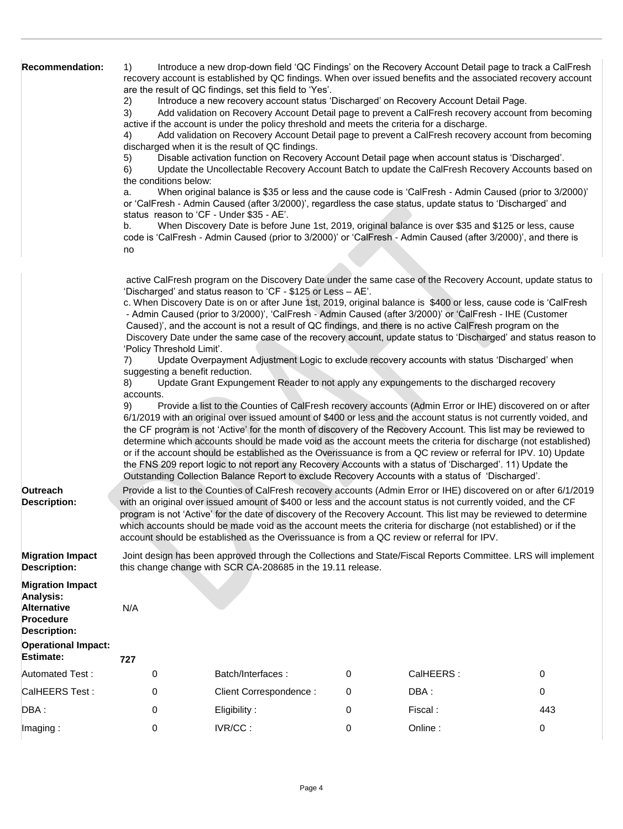| <b>Recommendation:</b>                                                                         | Introduce a new drop-down field 'QC Findings' on the Recovery Account Detail page to track a CalFresh<br>1)<br>recovery account is established by QC findings. When over issued benefits and the associated recovery account<br>are the result of QC findings, set this field to 'Yes'.<br>Introduce a new recovery account status 'Discharged' on Recovery Account Detail Page.<br>2)<br>Add validation on Recovery Account Detail page to prevent a CalFresh recovery account from becoming<br>3)<br>active if the account is under the policy threshold and meets the criteria for a discharge.<br>Add validation on Recovery Account Detail page to prevent a CalFresh recovery account from becoming<br>4)<br>discharged when it is the result of QC findings.<br>Disable activation function on Recovery Account Detail page when account status is 'Discharged'.<br>5)<br>Update the Uncollectable Recovery Account Batch to update the CalFresh Recovery Accounts based on<br>6)<br>the conditions below:<br>When original balance is \$35 or less and the cause code is 'CalFresh - Admin Caused (prior to 3/2000)'<br>a.<br>or 'CalFresh - Admin Caused (after 3/2000)', regardless the case status, update status to 'Discharged' and<br>status reason to 'CF - Under \$35 - AE'.<br>When Discovery Date is before June 1st, 2019, original balance is over \$35 and \$125 or less, cause<br>b.<br>code is 'CalFresh - Admin Caused (prior to 3/2000)' or 'CalFresh - Admin Caused (after 3/2000)', and there is<br>no<br>active CalFresh program on the Discovery Date under the same case of the Recovery Account, update status to<br>'Discharged' and status reason to 'CF - \$125 or Less - AE'.<br>c. When Discovery Date is on or after June 1st, 2019, original balance is \$400 or less, cause code is 'CalFresh<br>- Admin Caused (prior to 3/2000)', 'CalFresh - Admin Caused (after 3/2000)' or 'CalFresh - IHE (Customer<br>Caused)', and the account is not a result of QC findings, and there is no active CalFresh program on the<br>Discovery Date under the same case of the recovery account, update status to 'Discharged' and status reason to<br>'Policy Threshold Limit'.<br>Update Overpayment Adjustment Logic to exclude recovery accounts with status 'Discharged' when<br>7) |                                                                                            |   |                                                                                                                |     |  |  |
|------------------------------------------------------------------------------------------------|---------------------------------------------------------------------------------------------------------------------------------------------------------------------------------------------------------------------------------------------------------------------------------------------------------------------------------------------------------------------------------------------------------------------------------------------------------------------------------------------------------------------------------------------------------------------------------------------------------------------------------------------------------------------------------------------------------------------------------------------------------------------------------------------------------------------------------------------------------------------------------------------------------------------------------------------------------------------------------------------------------------------------------------------------------------------------------------------------------------------------------------------------------------------------------------------------------------------------------------------------------------------------------------------------------------------------------------------------------------------------------------------------------------------------------------------------------------------------------------------------------------------------------------------------------------------------------------------------------------------------------------------------------------------------------------------------------------------------------------------------------------------------------------------------------------------------------------------------------------------------------------------------------------------------------------------------------------------------------------------------------------------------------------------------------------------------------------------------------------------------------------------------------------------------------------------------------------------------------------------------------------------------------------------------------------------|--------------------------------------------------------------------------------------------|---|----------------------------------------------------------------------------------------------------------------|-----|--|--|
|                                                                                                | suggesting a benefit reduction.<br>Update Grant Expungement Reader to not apply any expungements to the discharged recovery<br>8)                                                                                                                                                                                                                                                                                                                                                                                                                                                                                                                                                                                                                                                                                                                                                                                                                                                                                                                                                                                                                                                                                                                                                                                                                                                                                                                                                                                                                                                                                                                                                                                                                                                                                                                                                                                                                                                                                                                                                                                                                                                                                                                                                                                   |                                                                                            |   |                                                                                                                |     |  |  |
| Outreach<br><b>Description:</b>                                                                | accounts.<br>Provide a list to the Counties of CalFresh recovery accounts (Admin Error or IHE) discovered on or after<br>9)<br>6/1/2019 with an original over issued amount of \$400 or less and the account status is not currently voided, and<br>the CF program is not 'Active' for the month of discovery of the Recovery Account. This list may be reviewed to<br>determine which accounts should be made void as the account meets the criteria for discharge (not established)<br>or if the account should be established as the Overissuance is from a QC review or referral for IPV. 10) Update<br>the FNS 209 report logic to not report any Recovery Accounts with a status of 'Discharged'. 11) Update the<br>Outstanding Collection Balance Report to exclude Recovery Accounts with a status of 'Discharged'.<br>Provide a list to the Counties of CalFresh recovery accounts (Admin Error or IHE) discovered on or after 6/1/2019<br>with an original over issued amount of \$400 or less and the account status is not currently voided, and the CF<br>program is not 'Active' for the date of discovery of the Recovery Account. This list may be reviewed to determine                                                                                                                                                                                                                                                                                                                                                                                                                                                                                                                                                                                                                                                                                                                                                                                                                                                                                                                                                                                                                                                                                                                            |                                                                                            |   |                                                                                                                |     |  |  |
|                                                                                                |                                                                                                                                                                                                                                                                                                                                                                                                                                                                                                                                                                                                                                                                                                                                                                                                                                                                                                                                                                                                                                                                                                                                                                                                                                                                                                                                                                                                                                                                                                                                                                                                                                                                                                                                                                                                                                                                                                                                                                                                                                                                                                                                                                                                                                                                                                                     | account should be established as the Overissuance is from a QC review or referral for IPV. |   | which accounts should be made void as the account meets the criteria for discharge (not established) or if the |     |  |  |
| <b>Migration Impact</b><br><b>Description:</b>                                                 | Joint design has been approved through the Collections and State/Fiscal Reports Committee. LRS will implement<br>this change change with SCR CA-208685 in the 19.11 release.                                                                                                                                                                                                                                                                                                                                                                                                                                                                                                                                                                                                                                                                                                                                                                                                                                                                                                                                                                                                                                                                                                                                                                                                                                                                                                                                                                                                                                                                                                                                                                                                                                                                                                                                                                                                                                                                                                                                                                                                                                                                                                                                        |                                                                                            |   |                                                                                                                |     |  |  |
| <b>Migration Impact</b><br>Analysis:<br><b>Alternative</b><br>Procedure<br><b>Description:</b> | N/A                                                                                                                                                                                                                                                                                                                                                                                                                                                                                                                                                                                                                                                                                                                                                                                                                                                                                                                                                                                                                                                                                                                                                                                                                                                                                                                                                                                                                                                                                                                                                                                                                                                                                                                                                                                                                                                                                                                                                                                                                                                                                                                                                                                                                                                                                                                 |                                                                                            |   |                                                                                                                |     |  |  |
| <b>Operational Impact:</b><br><b>Estimate:</b>                                                 | 727                                                                                                                                                                                                                                                                                                                                                                                                                                                                                                                                                                                                                                                                                                                                                                                                                                                                                                                                                                                                                                                                                                                                                                                                                                                                                                                                                                                                                                                                                                                                                                                                                                                                                                                                                                                                                                                                                                                                                                                                                                                                                                                                                                                                                                                                                                                 |                                                                                            |   |                                                                                                                |     |  |  |
| Automated Test:                                                                                | 0                                                                                                                                                                                                                                                                                                                                                                                                                                                                                                                                                                                                                                                                                                                                                                                                                                                                                                                                                                                                                                                                                                                                                                                                                                                                                                                                                                                                                                                                                                                                                                                                                                                                                                                                                                                                                                                                                                                                                                                                                                                                                                                                                                                                                                                                                                                   | Batch/Interfaces:                                                                          | 0 | CalHEERS:                                                                                                      | 0   |  |  |
| CalHEERS Test:                                                                                 | 0                                                                                                                                                                                                                                                                                                                                                                                                                                                                                                                                                                                                                                                                                                                                                                                                                                                                                                                                                                                                                                                                                                                                                                                                                                                                                                                                                                                                                                                                                                                                                                                                                                                                                                                                                                                                                                                                                                                                                                                                                                                                                                                                                                                                                                                                                                                   | Client Correspondence:                                                                     | 0 | DBA:                                                                                                           | 0   |  |  |
| DBA:                                                                                           | 0                                                                                                                                                                                                                                                                                                                                                                                                                                                                                                                                                                                                                                                                                                                                                                                                                                                                                                                                                                                                                                                                                                                                                                                                                                                                                                                                                                                                                                                                                                                                                                                                                                                                                                                                                                                                                                                                                                                                                                                                                                                                                                                                                                                                                                                                                                                   | Eligibility:                                                                               | 0 | Fiscal:                                                                                                        | 443 |  |  |
| Imaging:                                                                                       | 0                                                                                                                                                                                                                                                                                                                                                                                                                                                                                                                                                                                                                                                                                                                                                                                                                                                                                                                                                                                                                                                                                                                                                                                                                                                                                                                                                                                                                                                                                                                                                                                                                                                                                                                                                                                                                                                                                                                                                                                                                                                                                                                                                                                                                                                                                                                   | IVR/CC:                                                                                    | 0 | Online:                                                                                                        | 0   |  |  |